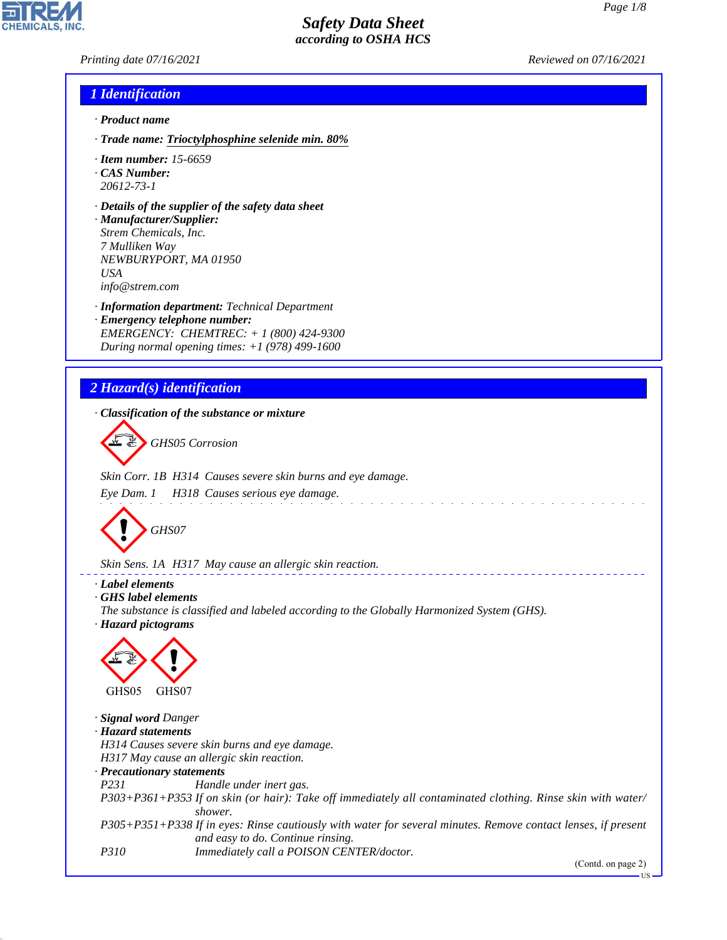*Printing date 07/16/2021 Reviewed on 07/16/2021*

## *1 Identification*

- *· Product name*
- *· Trade name: Trioctylphosphine selenide min. 80%*
- *· Item number: 15-6659*
- *· CAS Number: 20612-73-1*
- *· Details of the supplier of the safety data sheet*
- *· Manufacturer/Supplier: Strem Chemicals, Inc. 7 Mulliken Way NEWBURYPORT, MA 01950 USA info@strem.com*
- *· Information department: Technical Department · Emergency telephone number: EMERGENCY: CHEMTREC: + 1 (800) 424-9300 During normal opening times: +1 (978) 499-1600*

# *2 Hazard(s) identification*

*· Classification of the substance or mixture*



*Skin Corr. 1B H314 Causes severe skin burns and eye damage.*

*Eye Dam. 1 H318 Causes serious eye damage.*



*Skin Sens. 1A H317 May cause an allergic skin reaction.*

### *· Label elements*

*· GHS label elements*

*The substance is classified and labeled according to the Globally Harmonized System (GHS). · Hazard pictograms*



44.1.1

*· Signal word Danger · Hazard statements H314 Causes severe skin burns and eye damage. H317 May cause an allergic skin reaction. · Precautionary statements P231 Handle under inert gas. P303+P361+P353 If on skin (or hair): Take off immediately all contaminated clothing. Rinse skin with water/ shower. P305+P351+P338 If in eyes: Rinse cautiously with water for several minutes. Remove contact lenses, if present and easy to do. Continue rinsing. P310 Immediately call a POISON CENTER/doctor.*

and the state of the state of the state

(Contd. on page 2)

US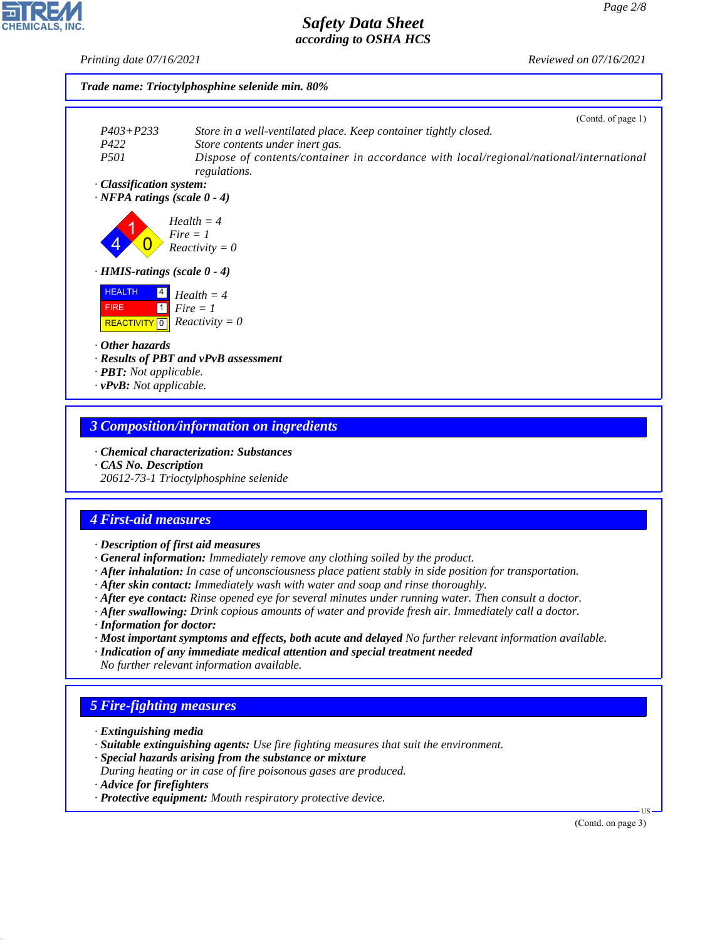*Printing date 07/16/2021 Reviewed on 07/16/2021*



# *3 Composition/information on ingredients*

- *· Chemical characterization: Substances*
- *· CAS No. Description*

*20612-73-1 Trioctylphosphine selenide*

### *4 First-aid measures*

- *· Description of first aid measures*
- *· General information: Immediately remove any clothing soiled by the product.*
- *· After inhalation: In case of unconsciousness place patient stably in side position for transportation.*
- *· After skin contact: Immediately wash with water and soap and rinse thoroughly.*
- *· After eye contact: Rinse opened eye for several minutes under running water. Then consult a doctor.*
- *· After swallowing: Drink copious amounts of water and provide fresh air. Immediately call a doctor.*
- *· Information for doctor:*
- *· Most important symptoms and effects, both acute and delayed No further relevant information available.*
- *· Indication of any immediate medical attention and special treatment needed No further relevant information available.*

# *5 Fire-fighting measures*

- *· Extinguishing media*
- *· Suitable extinguishing agents: Use fire fighting measures that suit the environment.*
- *· Special hazards arising from the substance or mixture*
- *During heating or in case of fire poisonous gases are produced.*
- *· Advice for firefighters*

44.1.1

*· Protective equipment: Mouth respiratory protective device.*

(Contd. on page 3)

US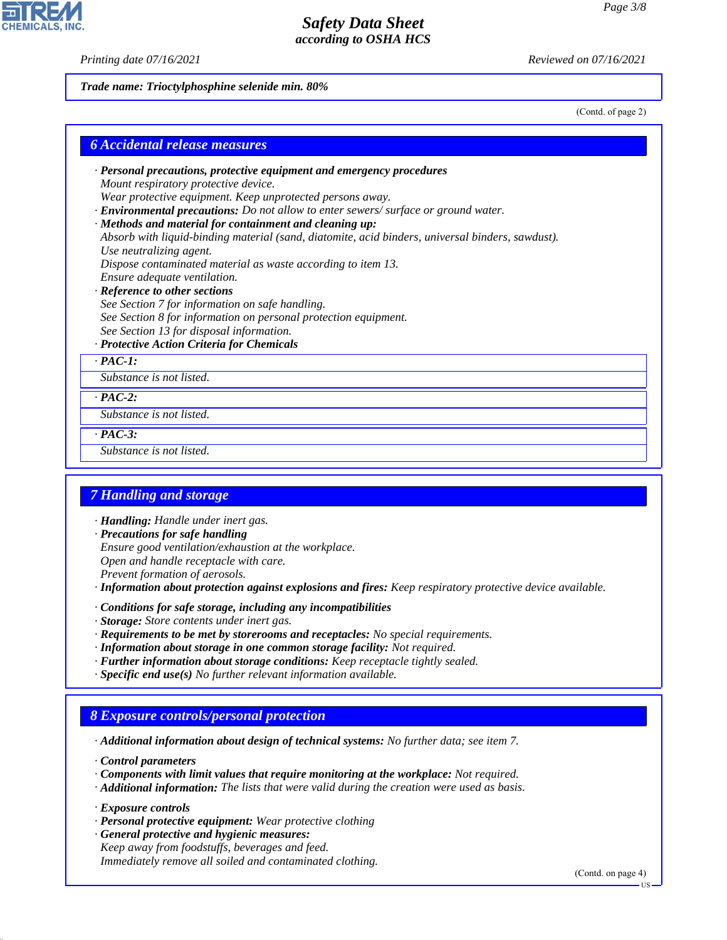*Printing date 07/16/2021 Reviewed on 07/16/2021*

*Trade name: Trioctylphosphine selenide min. 80%*

(Contd. of page 2)

| <b>6 Accidental release measures</b>                                                             |  |  |
|--------------------------------------------------------------------------------------------------|--|--|
| $\cdot$ Personal precautions, protective equipment and emergency procedures                      |  |  |
| Mount respiratory protective device.                                                             |  |  |
| Wear protective equipment. Keep unprotected persons away.                                        |  |  |
| · Environmental precautions: Do not allow to enter sewers/ surface or ground water.              |  |  |
| · Methods and material for containment and cleaning up:                                          |  |  |
| Absorb with liquid-binding material (sand, diatomite, acid binders, universal binders, sawdust). |  |  |
| Use neutralizing agent.                                                                          |  |  |
| Dispose contaminated material as waste according to item 13.                                     |  |  |
| Ensure adequate ventilation.                                                                     |  |  |
| $\mathbf{D}$ of concerns a directed and a set of concern                                         |  |  |

#### *· Reference to other sections*

*See Section 7 for information on safe handling. See Section 8 for information on personal protection equipment. See Section 13 for disposal information.*

#### *· Protective Action Criteria for Chemicals*

*· PAC-1:*

*Substance is not listed.*

*· PAC-2:*

*Substance is not listed.*

*· PAC-3:*

*Substance is not listed.*

#### *7 Handling and storage*

*· Handling: Handle under inert gas.*

*· Precautions for safe handling*

*Ensure good ventilation/exhaustion at the workplace.*

*Open and handle receptacle with care.*

*Prevent formation of aerosols.*

*· Information about protection against explosions and fires: Keep respiratory protective device available.*

- *· Conditions for safe storage, including any incompatibilities*
- *· Storage: Store contents under inert gas.*
- *· Requirements to be met by storerooms and receptacles: No special requirements.*
- *· Information about storage in one common storage facility: Not required.*
- *· Further information about storage conditions: Keep receptacle tightly sealed.*
- *· Specific end use(s) No further relevant information available.*

### *8 Exposure controls/personal protection*

*· Additional information about design of technical systems: No further data; see item 7.*

*· Control parameters*

- *· Components with limit values that require monitoring at the workplace: Not required.*
- *· Additional information: The lists that were valid during the creation were used as basis.*

*· Exposure controls*

44.1.1

- *· Personal protective equipment: Wear protective clothing*
- *· General protective and hygienic measures: Keep away from foodstuffs, beverages and feed. Immediately remove all soiled and contaminated clothing.*

(Contd. on page 4)

US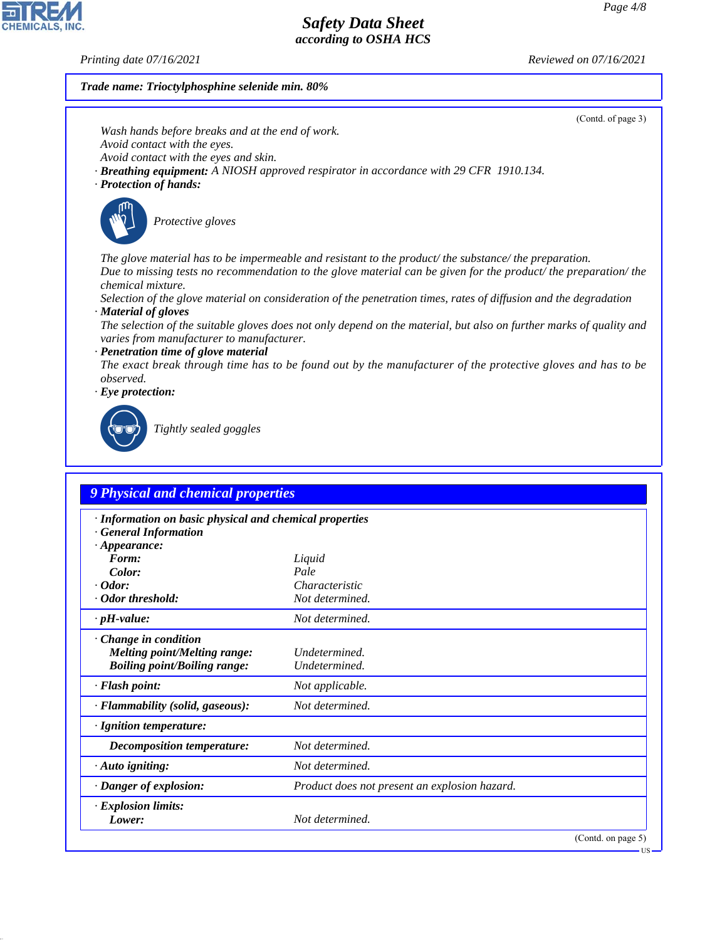CHEMICALS, INC.

44.1.1

*Printing date 07/16/2021 Reviewed on 07/16/2021*

# *Trade name: Trioctylphosphine selenide min. 80%*

| (Contd. of page 3)                                                                                                                                  |
|-----------------------------------------------------------------------------------------------------------------------------------------------------|
| Wash hands before breaks and at the end of work.                                                                                                    |
| Avoid contact with the eyes.                                                                                                                        |
| Avoid contact with the eyes and skin.                                                                                                               |
| <b>· Breathing equipment:</b> A NIOSH approved respirator in accordance with 29 CFR 1910.134.<br>· Protection of hands:                             |
|                                                                                                                                                     |
| Protective gloves                                                                                                                                   |
| The glove material has to be impermeable and resistant to the product/the substance/the preparation.                                                |
| Due to missing tests no recommendation to the glove material can be given for the product/the preparation/the<br><i>chemical mixture.</i>           |
| Selection of the glove material on consideration of the penetration times, rates of diffusion and the degradation                                   |
| · Material of gloves                                                                                                                                |
| The selection of the suitable gloves does not only depend on the material, but also on further marks of quality and                                 |
| varies from manufacturer to manufacturer.                                                                                                           |
| · Penetration time of glove material<br>The exact break through time has to be found out by the manufacturer of the protective gloves and has to be |
| observed.                                                                                                                                           |
| $\cdot$ Eye protection:                                                                                                                             |
|                                                                                                                                                     |
| Tightly sealed goggles                                                                                                                              |
|                                                                                                                                                     |
| <b>9 Physical and chemical properties</b>                                                                                                           |
|                                                                                                                                                     |
| · Information on basic physical and chemical properties                                                                                             |
| <b>General Information</b>                                                                                                                          |
| $\cdot$ Appearance:                                                                                                                                 |

| $\cdot$ Appearance:                 |                                               |                    |
|-------------------------------------|-----------------------------------------------|--------------------|
| Form:                               | Liquid                                        |                    |
| Color:                              | Pale                                          |                    |
| $\cdot$ Odor:                       | Characteristic                                |                    |
| · Odor threshold:                   | Not determined.                               |                    |
| $\cdot$ pH-value:                   | Not determined.                               |                    |
| $\cdot$ Change in condition         |                                               |                    |
| <b>Melting point/Melting range:</b> | Undetermined.                                 |                    |
| <b>Boiling point/Boiling range:</b> | Undetermined.                                 |                    |
| · Flash point:                      | Not applicable.                               |                    |
| · Flammability (solid, gaseous):    | Not determined.                               |                    |
| · Ignition temperature:             |                                               |                    |
| Decomposition temperature:          | Not determined.                               |                    |
| $\cdot$ Auto igniting:              | Not determined.                               |                    |
| · Danger of explosion:              | Product does not present an explosion hazard. |                    |
| · Explosion limits:                 |                                               |                    |
| Lower:                              | Not determined.                               |                    |
|                                     |                                               | (Contd. on page 5) |
|                                     |                                               | $\frac{1}{5}$      |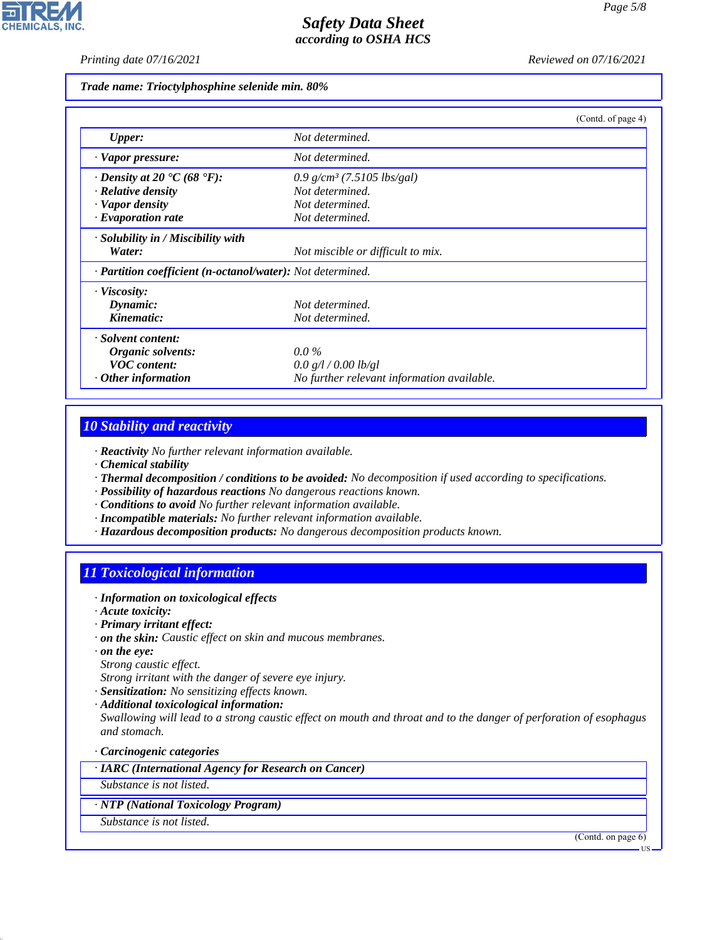*Printing date 07/16/2021 Reviewed on 07/16/2021*

*Trade name: Trioctylphosphine selenide min. 80%*

|                                                             | (Contd. of page 4)                         |
|-------------------------------------------------------------|--------------------------------------------|
| <b>Upper:</b>                                               | Not determined.                            |
| · Vapor pressure:                                           | Not determined.                            |
| $\cdot$ Density at 20 $\textdegree$ C (68 $\textdegree$ F): | 0.9 g/cm <sup>3</sup> (7.5105 lbs/gal)     |
| $\cdot$ Relative density                                    | Not determined.                            |
| · Vapor density                                             | Not determined.                            |
| $\cdot$ Evaporation rate                                    | Not determined.                            |
| · Solubility in / Miscibility with                          |                                            |
| Water:                                                      | Not miscible or difficult to mix.          |
| · Partition coefficient (n-octanol/water): Not determined.  |                                            |
| · Viscosity:                                                |                                            |
| Dynamic:                                                    | Not determined.                            |
| Kinematic:                                                  | Not determined.                            |
| · Solvent content:                                          |                                            |
| Organic solvents:                                           | $0.0\%$                                    |
| <b>VOC</b> content:                                         | 0.0 g/l / 0.00 lb/gl                       |
| $\cdot$ Other information                                   | No further relevant information available. |

### *10 Stability and reactivity*

*· Reactivity No further relevant information available.*

- *· Chemical stability*
- *· Thermal decomposition / conditions to be avoided: No decomposition if used according to specifications.*
- *· Possibility of hazardous reactions No dangerous reactions known.*
- *· Conditions to avoid No further relevant information available.*
- *· Incompatible materials: No further relevant information available.*
- *· Hazardous decomposition products: No dangerous decomposition products known.*

# *11 Toxicological information*

- *· Information on toxicological effects*
- *· Acute toxicity:*
- *· Primary irritant effect:*
- *· on the skin: Caustic effect on skin and mucous membranes.*
- *· on the eye:*
- *Strong caustic effect.*

*Strong irritant with the danger of severe eye injury.*

- *· Sensitization: No sensitizing effects known.*
- *· Additional toxicological information:*

*Swallowing will lead to a strong caustic effect on mouth and throat and to the danger of perforation of esophagus and stomach.*

*· Carcinogenic categories*

*· IARC (International Agency for Research on Cancer)*

*Substance is not listed.*

- *· NTP (National Toxicology Program)*
- *Substance is not listed.*

44.1.1

(Contd. on page 6)



US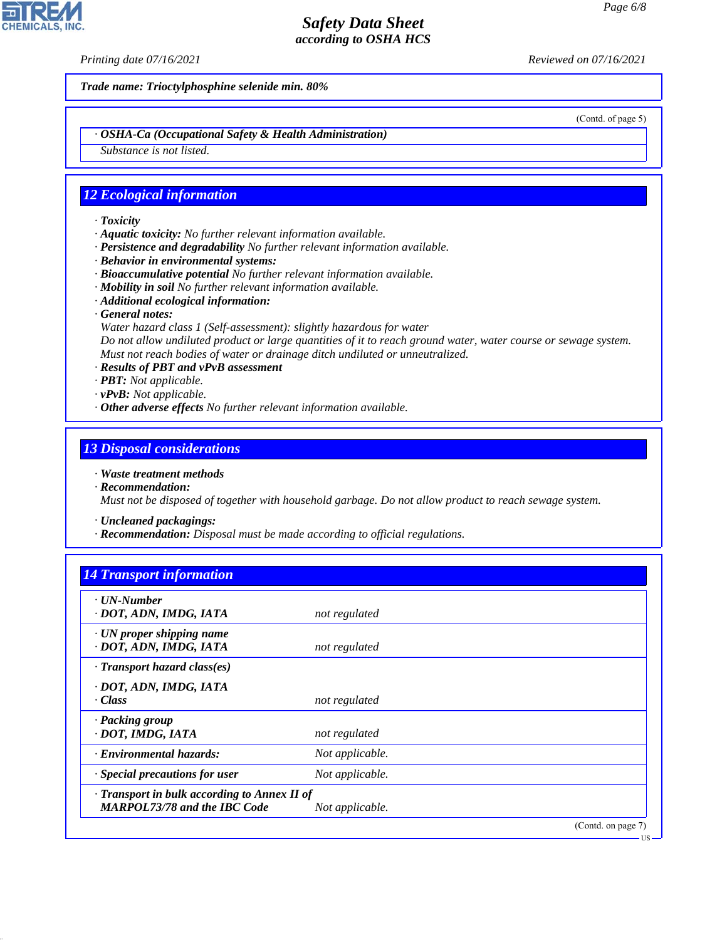*Printing date 07/16/2021 Reviewed on 07/16/2021*

*Trade name: Trioctylphosphine selenide min. 80%*

(Contd. of page 5)

*· OSHA-Ca (Occupational Safety & Health Administration)*

*Substance is not listed.*

### *12 Ecological information*

- *· Toxicity*
- *· Aquatic toxicity: No further relevant information available.*
- *· Persistence and degradability No further relevant information available.*
- *· Behavior in environmental systems:*
- *· Bioaccumulative potential No further relevant information available.*
- *· Mobility in soil No further relevant information available.*
- *· Additional ecological information:*
- *· General notes:*
- *Water hazard class 1 (Self-assessment): slightly hazardous for water Do not allow undiluted product or large quantities of it to reach ground water, water course or sewage system. Must not reach bodies of water or drainage ditch undiluted or unneutralized.*
- *· Results of PBT and vPvB assessment*
- *· PBT: Not applicable.*
- *· vPvB: Not applicable.*
- *· Other adverse effects No further relevant information available.*

### *13 Disposal considerations*

- *· Waste treatment methods*
- *· Recommendation: Must not be disposed of together with household garbage. Do not allow product to reach sewage system.*

*· Uncleaned packagings:*

*· Recommendation: Disposal must be made according to official regulations.*

| <b>14 Transport information</b> |  |  |
|---------------------------------|--|--|
|                                 |  |  |

| · UN-Number<br>· DOT, ADN, IMDG, IATA                                               | not regulated   |                              |
|-------------------------------------------------------------------------------------|-----------------|------------------------------|
| $\cdot$ UN proper shipping name<br>· DOT, ADN, IMDG, IATA                           | not regulated   |                              |
| $\cdot$ Transport hazard class(es)                                                  |                 |                              |
| · DOT, ADN, IMDG, IATA<br>· Class                                                   | not regulated   |                              |
| $\cdot$ Packing group<br>· DOT, IMDG, IATA                                          | not regulated   |                              |
| Environmental hazards:                                                              | Not applicable. |                              |
| $\cdot$ Special precautions for user                                                | Not applicable. |                              |
| · Transport in bulk according to Annex II of<br><b>MARPOL73/78 and the IBC Code</b> | Not applicable. |                              |
|                                                                                     |                 | (Contd. on page 7)<br>- US - |



44.1.1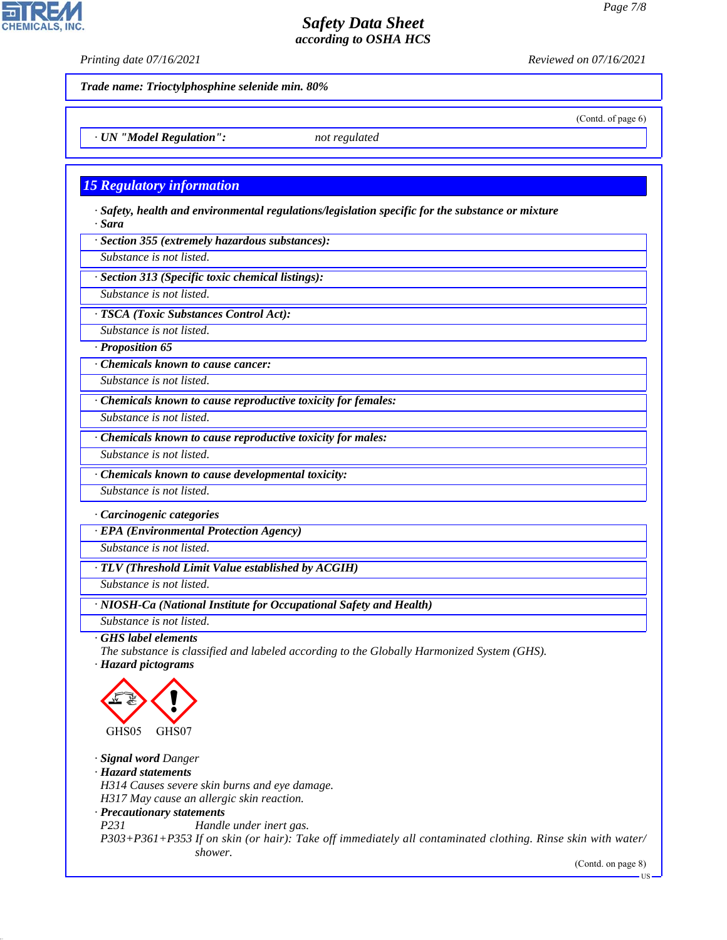**CHEMICALS, INC** 

*Printing date 07/16/2021 Reviewed on 07/16/2021*

(Contd. of page 6)

*Trade name: Trioctylphosphine selenide min. 80%*

*· UN "Model Regulation": not regulated*

### *15 Regulatory information*

*· Safety, health and environmental regulations/legislation specific for the substance or mixture · Sara*

*· Section 355 (extremely hazardous substances):*

*Substance is not listed.*

*· Section 313 (Specific toxic chemical listings):*

*Substance is not listed.*

*· TSCA (Toxic Substances Control Act):*

*Substance is not listed.*

*· Proposition 65*

*· Chemicals known to cause cancer:*

*Substance is not listed.*

*· Chemicals known to cause reproductive toxicity for females:*

*Substance is not listed.*

*· Chemicals known to cause reproductive toxicity for males:*

*Substance is not listed.*

*· Chemicals known to cause developmental toxicity:*

*Substance is not listed.*

*· Carcinogenic categories*

*· EPA (Environmental Protection Agency)*

*Substance is not listed.*

*· TLV (Threshold Limit Value established by ACGIH)*

*Substance is not listed.*

*· NIOSH-Ca (National Institute for Occupational Safety and Health)*

*Substance is not listed.*

*· GHS label elements*

*The substance is classified and labeled according to the Globally Harmonized System (GHS). · Hazard pictograms*



*· Signal word Danger*

*· Hazard statements*

44.1.1

*H314 Causes severe skin burns and eye damage.*

*H317 May cause an allergic skin reaction.*

#### *· Precautionary statements*

*P231 Handle under inert gas. P303+P361+P353 If on skin (or hair): Take off immediately all contaminated clothing. Rinse skin with water/ shower.*

(Contd. on page 8)

US